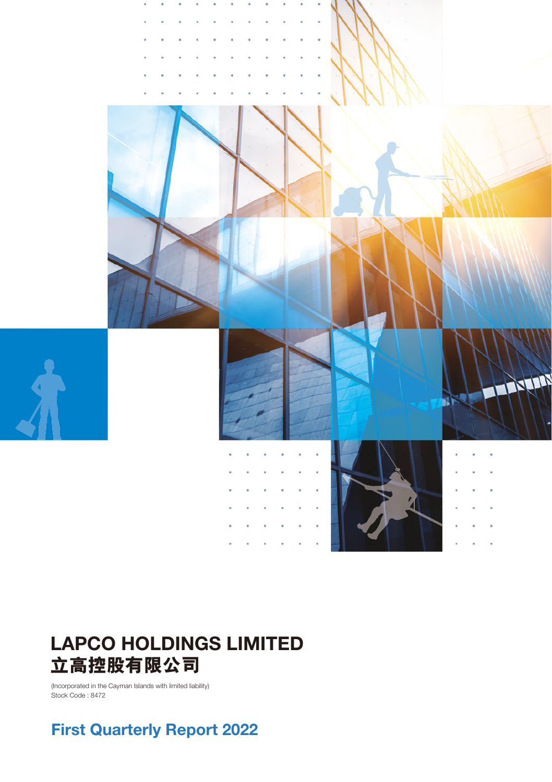

# **LAPCO HOLDINGS LIMITED 立高控股有限公司**

(Incorporated in the Cayman Islands with limited liability) Stock Code : 8472

# **First Quarterly Report 2022**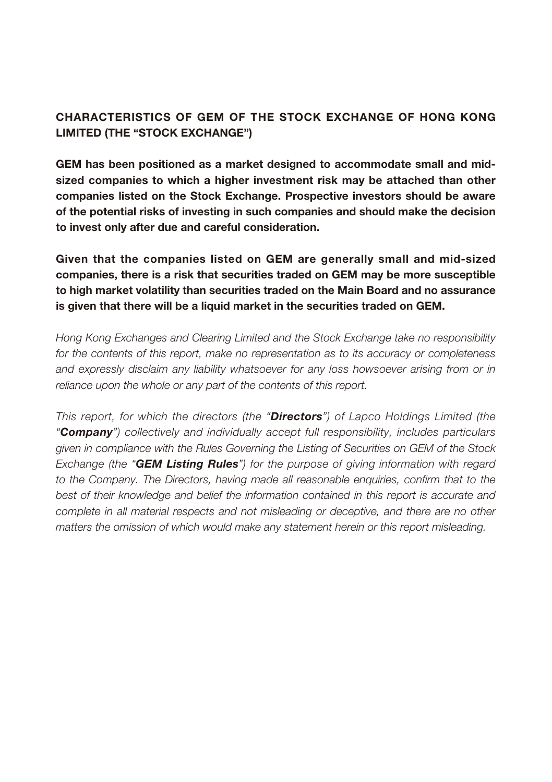### **CHARACTERISTICS OF GEM OF THE STOCK EXCHANGE OF HONG KONG LIMITED (THE "STOCK EXCHANGE")**

**GEM has been positioned as a market designed to accommodate small and midsized companies to which a higher investment risk may be attached than other companies listed on the Stock Exchange. Prospective investors should be aware of the potential risks of investing in such companies and should make the decision to invest only after due and careful consideration.**

**Given that the companies listed on GEM are generally small and mid-sized companies, there is a risk that securities traded on GEM may be more susceptible to high market volatility than securities traded on the Main Board and no assurance is given that there will be a liquid market in the securities traded on GEM.**

Hong Kong Exchanges and Clearing Limited and the Stock Exchange take no responsibility for the contents of this report, make no representation as to its accuracy or completeness and expressly disclaim any liability whatsoever for any loss howsoever arising from or in reliance upon the whole or any part of the contents of this report.

This report, for which the directors (the "*Directors*") of Lapco Holdings Limited (the "*Company*") collectively and individually accept full responsibility, includes particulars given in compliance with the Rules Governing the Listing of Securities on GEM of the Stock Exchange (the "*GEM Listing Rules*") for the purpose of giving information with regard to the Company. The Directors, having made all reasonable enquiries, confirm that to the best of their knowledge and belief the information contained in this report is accurate and complete in all material respects and not misleading or deceptive, and there are no other matters the omission of which would make any statement herein or this report misleading.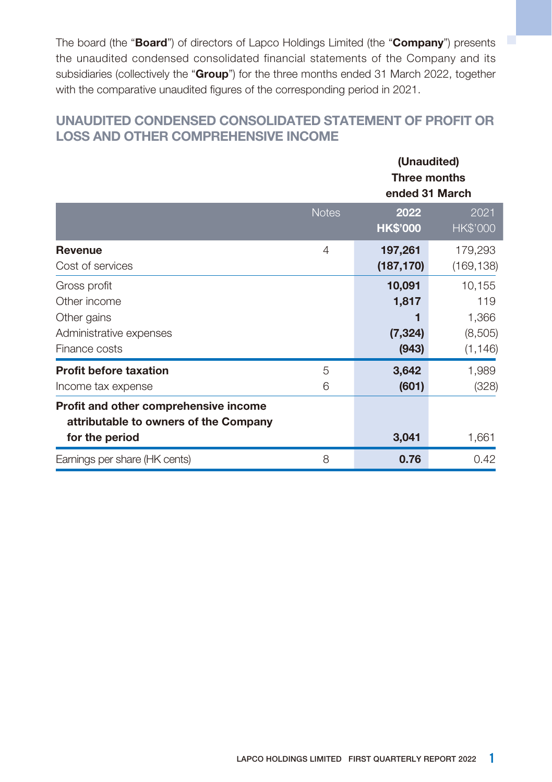The board (the "**Board**") of directors of Lapco Holdings Limited (the "**Company**") presents the unaudited condensed consolidated financial statements of the Company and its subsidiaries (collectively the "**Group**") for the three months ended 31 March 2022, together with the comparative unaudited figures of the corresponding period in 2021.

### **UNAUDITED CONDENSED CONSOLIDATED STATEMENT OF PROFIT OR LOSS AND OTHER COMPREHENSIVE INCOME**

|                                                                                                  |              | (Unaudited)<br><b>Three months</b><br>ended 31 March |                                               |  |
|--------------------------------------------------------------------------------------------------|--------------|------------------------------------------------------|-----------------------------------------------|--|
|                                                                                                  | <b>Notes</b> | 2022<br><b>HK\$'000</b>                              | 2021<br><b>HK\$'000</b>                       |  |
| <b>Revenue</b><br>Cost of services                                                               | 4            | 197,261<br>(187,170)                                 | 179,293<br>(169, 138)                         |  |
| Gross profit<br>Other income<br>Other gains<br>Administrative expenses<br>Finance costs          |              | 10,091<br>1,817<br>(7, 324)<br>(943)                 | 10,155<br>119<br>1,366<br>(8,505)<br>(1, 146) |  |
| <b>Profit before taxation</b><br>Income tax expense                                              | 5<br>6       | 3,642<br>(601)                                       | 1,989<br>(328)                                |  |
| Profit and other comprehensive income<br>attributable to owners of the Company<br>for the period |              | 3,041                                                | 1,661                                         |  |
| Earnings per share (HK cents)                                                                    | 8            | 0.76                                                 | 0.42                                          |  |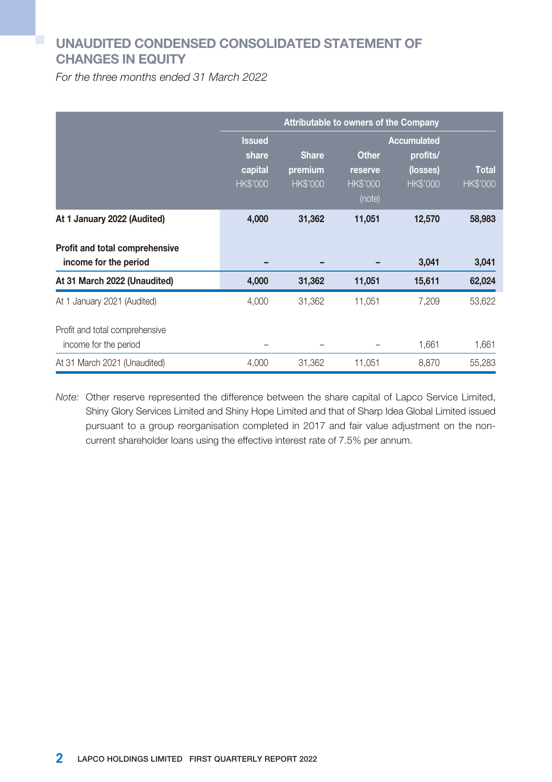## **UNAUDITED CONDENSED CONSOLIDATED STATEMENT OF CHANGES IN EQUITY**

For the three months ended 31 March 2022

|                                                         | Attributable to owners of the Company                |                                            |                                                      |                                                               |                                 |
|---------------------------------------------------------|------------------------------------------------------|--------------------------------------------|------------------------------------------------------|---------------------------------------------------------------|---------------------------------|
|                                                         | <b>Issued</b><br>share<br>capital<br><b>HK\$'000</b> | <b>Share</b><br>premium<br><b>HK\$'000</b> | <b>Other</b><br>reserve<br><b>HK\$'000</b><br>(note) | <b>Accumulated</b><br>profits/<br>(losses)<br><b>HK\$'000</b> | <b>Total</b><br><b>HK\$'000</b> |
| At 1 January 2022 (Audited)                             | 4,000                                                | 31,362                                     | 11,051                                               | 12,570                                                        | 58,983                          |
| Profit and total comprehensive<br>income for the period |                                                      |                                            |                                                      | 3,041                                                         | 3,041                           |
| At 31 March 2022 (Unaudited)                            | 4,000                                                | 31,362                                     | 11,051                                               | 15,611                                                        | 62,024                          |
| At 1 January 2021 (Audited)                             | 4,000                                                | 31,362                                     | 11,051                                               | 7,209                                                         | 53,622                          |
| Profit and total comprehensive<br>income for the period |                                                      |                                            |                                                      | 1,661                                                         | 1,661                           |
| At 31 March 2021 (Unaudited)                            | 4.000                                                | 31,362                                     | 11.051                                               | 8.870                                                         | 55,283                          |

Note: Other reserve represented the difference between the share capital of Lapco Service Limited, Shiny Glory Services Limited and Shiny Hope Limited and that of Sharp Idea Global Limited issued pursuant to a group reorganisation completed in 2017 and fair value adjustment on the noncurrent shareholder loans using the effective interest rate of 7.5% per annum.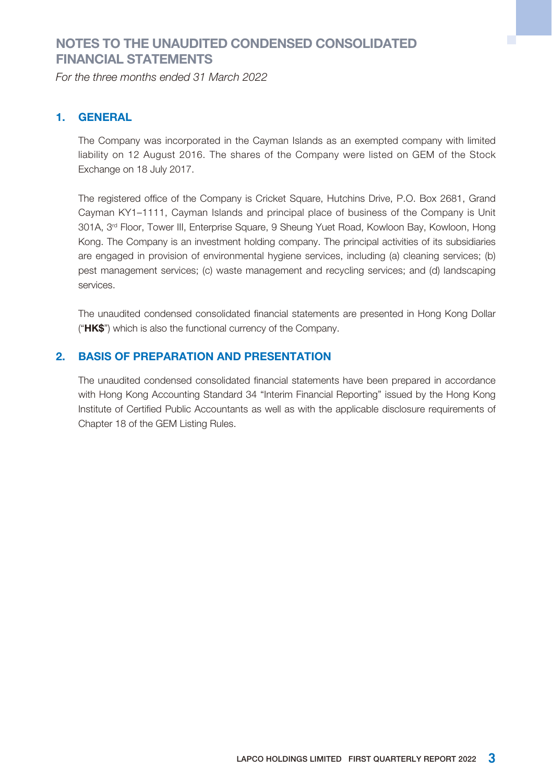### **NOTES TO THE UNAUDITED CONDENSED CONSOLIDATED FINANCIAL STATEMENTS**

For the three months ended 31 March 2022

#### **1. GENERAL**

The Company was incorporated in the Cayman Islands as an exempted company with limited liability on 12 August 2016. The shares of the Company were listed on GEM of the Stock Exchange on 18 July 2017.

The registered office of the Company is Cricket Square, Hutchins Drive, P.O. Box 2681, Grand Cayman KY1–1111, Cayman Islands and principal place of business of the Company is Unit 301A, 3rd Floor, Tower III, Enterprise Square, 9 Sheung Yuet Road, Kowloon Bay, Kowloon, Hong Kong. The Company is an investment holding company. The principal activities of its subsidiaries are engaged in provision of environmental hygiene services, including (a) cleaning services; (b) pest management services; (c) waste management and recycling services; and (d) landscaping services.

The unaudited condensed consolidated financial statements are presented in Hong Kong Dollar ("**HK\$**") which is also the functional currency of the Company.

#### **2. BASIS OF PREPARATION AND PRESENTATION**

The unaudited condensed consolidated financial statements have been prepared in accordance with Hong Kong Accounting Standard 34 "Interim Financial Reporting" issued by the Hong Kong Institute of Certified Public Accountants as well as with the applicable disclosure requirements of Chapter 18 of the GEM Listing Rules.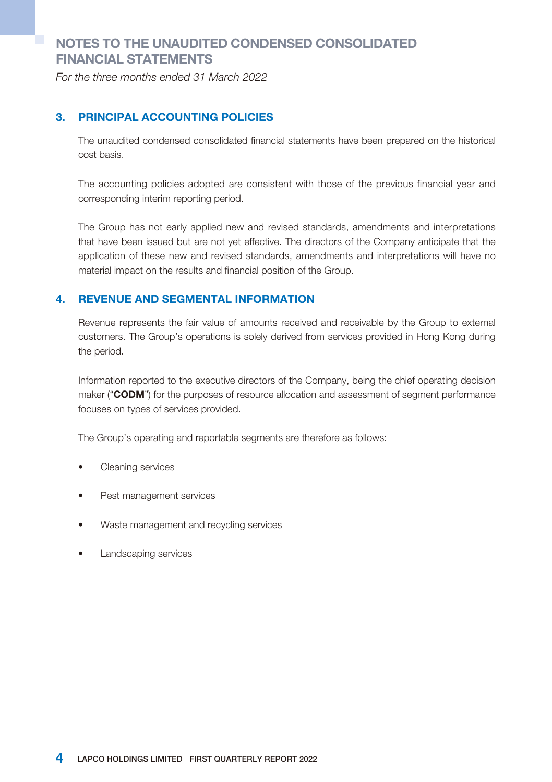## **NOTES TO THE UNAUDITED CONDENSED CONSOLIDATED FINANCIAL STATEMENTS**

For the three months ended 31 March 2022

#### **3. PRINCIPAL ACCOUNTING POLICIES**

The unaudited condensed consolidated financial statements have been prepared on the historical cost basis.

The accounting policies adopted are consistent with those of the previous financial year and corresponding interim reporting period.

The Group has not early applied new and revised standards, amendments and interpretations that have been issued but are not yet effective. The directors of the Company anticipate that the application of these new and revised standards, amendments and interpretations will have no material impact on the results and financial position of the Group.

#### **4. REVENUE AND SEGMENTAL INFORMATION**

Revenue represents the fair value of amounts received and receivable by the Group to external customers. The Group's operations is solely derived from services provided in Hong Kong during the period.

Information reported to the executive directors of the Company, being the chief operating decision maker ("**CODM**") for the purposes of resource allocation and assessment of segment performance focuses on types of services provided.

The Group's operating and reportable segments are therefore as follows:

- Cleaning services
- Pest management services
- Waste management and recycling services
- Landscaping services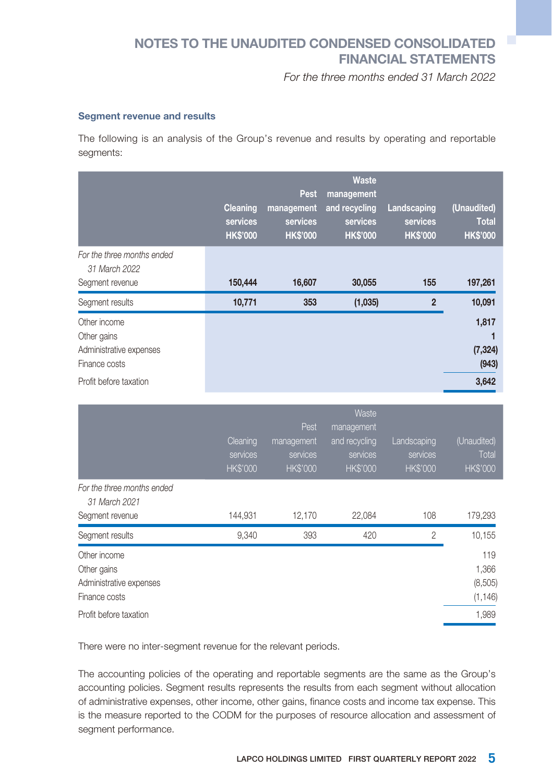## **NOTES TO THE UNAUDITED CONDENSED CONSOLIDATED FINANCIAL STATEMENTS**

For the three months ended 31 March 2022

#### **Segment revenue and results**

The following is an analysis of the Group's revenue and results by operating and reportable seaments:

|                                                                                                   | <b>Cleaning</b><br>services<br><b>HK\$'000</b> | <b>Pest</b><br>management<br>services<br><b>HK\$'000</b> | <b>Waste</b><br>management<br>and recycling<br>services<br><b>HK\$'000</b> | Landscaping<br>services<br><b>HK\$'000</b> | (Unaudited)<br><b>Total</b><br><b>HK\$'000</b> |
|---------------------------------------------------------------------------------------------------|------------------------------------------------|----------------------------------------------------------|----------------------------------------------------------------------------|--------------------------------------------|------------------------------------------------|
| For the three months ended<br>31 March 2022<br>Segment revenue                                    | 150,444                                        | 16,607                                                   | 30,055                                                                     | 155                                        | 197,261                                        |
|                                                                                                   |                                                |                                                          |                                                                            |                                            |                                                |
| Segment results                                                                                   | 10,771                                         | 353                                                      | (1,035)                                                                    | $\overline{2}$                             | 10,091                                         |
| Other income<br>Other gains<br>Administrative expenses<br>Finance costs<br>Profit before taxation |                                                |                                                          |                                                                            |                                            | 1,817<br>(7, 324)<br>(943)<br>3,642            |

|                                                                                                   | Cleaning<br>services<br><b>HK\$'000</b> | Pest.<br>management<br>services<br><b>HK\$'000</b> | <b>Waste</b><br>management<br>and recycling<br>services<br><b>HK\$'000</b> | Landscaping<br>services<br><b>HK\$'000</b> | (Unaudited)<br>Total<br><b>HK\$'000</b>      |
|---------------------------------------------------------------------------------------------------|-----------------------------------------|----------------------------------------------------|----------------------------------------------------------------------------|--------------------------------------------|----------------------------------------------|
| For the three months ended<br>31 March 2021                                                       |                                         |                                                    |                                                                            |                                            |                                              |
| Segment revenue                                                                                   | 144,931                                 | 12,170                                             | 22,084                                                                     | 108                                        | 179,293                                      |
| Segment results                                                                                   | 9,340                                   | 393                                                | 420                                                                        | $\overline{2}$                             | 10,155                                       |
| Other income<br>Other gains<br>Administrative expenses<br>Finance costs<br>Profit before taxation |                                         |                                                    |                                                                            |                                            | 119<br>1,366<br>(8,505)<br>(1, 146)<br>1,989 |

There were no inter-segment revenue for the relevant periods.

The accounting policies of the operating and reportable segments are the same as the Group's accounting policies. Segment results represents the results from each segment without allocation of administrative expenses, other income, other gains, finance costs and income tax expense. This is the measure reported to the CODM for the purposes of resource allocation and assessment of segment performance.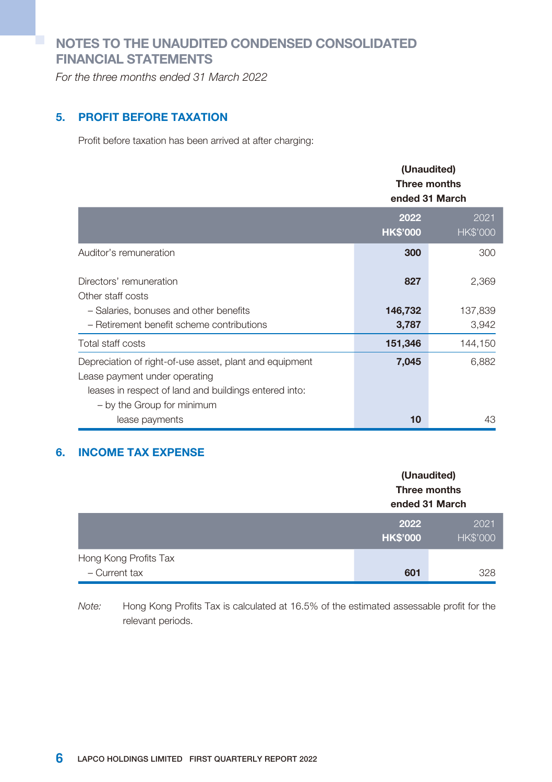## **NOTES TO THE UNAUDITED CONDENSED CONSOLIDATED FINANCIAL STATEMENTS**

For the three months ended 31 March 2022

#### **5. PROFIT BEFORE TAXATION**

Profit before taxation has been arrived at after charging:

|                                                                                                                                                                                 | (Unaudited)<br>Three months<br>ended 31 March |                         |
|---------------------------------------------------------------------------------------------------------------------------------------------------------------------------------|-----------------------------------------------|-------------------------|
|                                                                                                                                                                                 | 2022<br><b>HK\$'000</b>                       | 2021<br><b>HK\$'000</b> |
| Auditor's remuneration                                                                                                                                                          | 300                                           | 300                     |
| Directors' remuneration                                                                                                                                                         | 827                                           | 2,369                   |
| Other staff costs                                                                                                                                                               |                                               |                         |
| - Salaries, bonuses and other benefits                                                                                                                                          | 146,732                                       | 137,839                 |
| - Retirement benefit scheme contributions                                                                                                                                       | 3,787                                         | 3,942                   |
| Total staff costs                                                                                                                                                               | 151,346                                       | 144,150                 |
| Depreciation of right-of-use asset, plant and equipment<br>Lease payment under operating<br>leases in respect of land and buildings entered into:<br>- by the Group for minimum | 7,045                                         | 6,882                   |
| lease payments                                                                                                                                                                  | 10                                            | 43                      |

#### **6. INCOME TAX EXPENSE**

|                                        | (Unaudited)<br>Three months<br>ended 31 March |                         |  |
|----------------------------------------|-----------------------------------------------|-------------------------|--|
|                                        | 2022<br><b>HK\$'000</b>                       | 2021<br><b>HK\$'000</b> |  |
| Hong Kong Profits Tax<br>- Current tax | 601                                           | 328                     |  |

Note: Hong Kong Profits Tax is calculated at 16.5% of the estimated assessable profit for the relevant periods.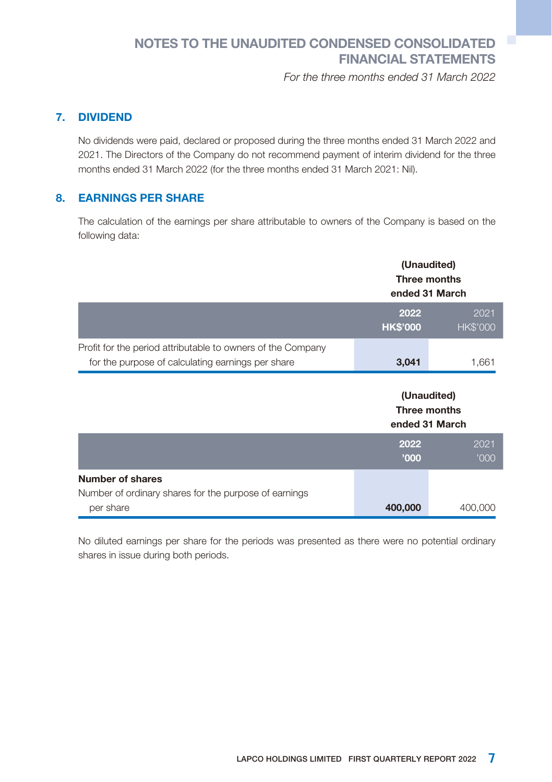## **NOTES TO THE UNAUDITED CONDENSED CONSOLIDATED FINANCIAL STATEMENTS**

For the three months ended 31 March 2022

#### **7. DIVIDEND**

No dividends were paid, declared or proposed during the three months ended 31 March 2022 and 2021. The Directors of the Company do not recommend payment of interim dividend for the three months ended 31 March 2022 (for the three months ended 31 March 2021: Nil).

#### **8. EARNINGS PER SHARE**

The calculation of the earnings per share attributable to owners of the Company is based on the following data:

|                                                                                                                  | (Unaudited)<br>Three months<br>ended 31 March |                         |
|------------------------------------------------------------------------------------------------------------------|-----------------------------------------------|-------------------------|
|                                                                                                                  | 2022<br><b>HK\$'000</b>                       | 2021<br><b>HK\$'000</b> |
| Profit for the period attributable to owners of the Company<br>for the purpose of calculating earnings per share | 3,041                                         | 1,661                   |
|                                                                                                                  | (Unaudited)<br>Three months<br>ended 31 March |                         |
|                                                                                                                  |                                               |                         |
|                                                                                                                  | 2022<br>'000                                  | 2021<br>'000            |
| Number of shares                                                                                                 |                                               |                         |

No diluted earnings per share for the periods was presented as there were no potential ordinary shares in issue during both periods.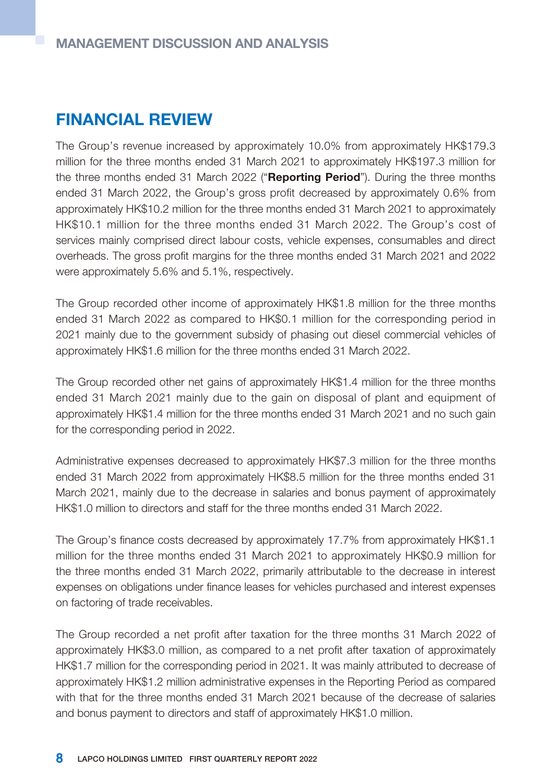# **FINANCIAL REVIEW**

The Group's revenue increased by approximately 10.0% from approximately HK\$179.3 million for the three months ended 31 March 2021 to approximately HK\$197.3 million for the three months ended 31 March 2022 ("**Reporting Period**"). During the three months ended 31 March 2022, the Group's gross profit decreased by approximately 0.6% from approximately HK\$10.2 million for the three months ended 31 March 2021 to approximately HK\$10.1 million for the three months ended 31 March 2022. The Group's cost of services mainly comprised direct labour costs, vehicle expenses, consumables and direct overheads. The gross profit margins for the three months ended 31 March 2021 and 2022 were approximately 5.6% and 5.1%, respectively.

The Group recorded other income of approximately HK\$1.8 million for the three months ended 31 March 2022 as compared to HK\$0.1 million for the corresponding period in 2021 mainly due to the government subsidy of phasing out diesel commercial vehicles of approximately HK\$1.6 million for the three months ended 31 March 2022.

The Group recorded other net gains of approximately HK\$1.4 million for the three months ended 31 March 2021 mainly due to the gain on disposal of plant and equipment of approximately HK\$1.4 million for the three months ended 31 March 2021 and no such gain for the corresponding period in 2022.

Administrative expenses decreased to approximately HK\$7.3 million for the three months ended 31 March 2022 from approximately HK\$8.5 million for the three months ended 31 March 2021, mainly due to the decrease in salaries and bonus payment of approximately HK\$1.0 million to directors and staff for the three months ended 31 March 2022.

The Group's finance costs decreased by approximately 17.7% from approximately HK\$1.1 million for the three months ended 31 March 2021 to approximately HK\$0.9 million for the three months ended 31 March 2022, primarily attributable to the decrease in interest expenses on obligations under finance leases for vehicles purchased and interest expenses on factoring of trade receivables.

The Group recorded a net profit after taxation for the three months 31 March 2022 of approximately HK\$3.0 million, as compared to a net profit after taxation of approximately HK\$1.7 million for the corresponding period in 2021. It was mainly attributed to decrease of approximately HK\$1.2 million administrative expenses in the Reporting Period as compared with that for the three months ended 31 March 2021 because of the decrease of salaries and bonus payment to directors and staff of approximately HK\$1.0 million.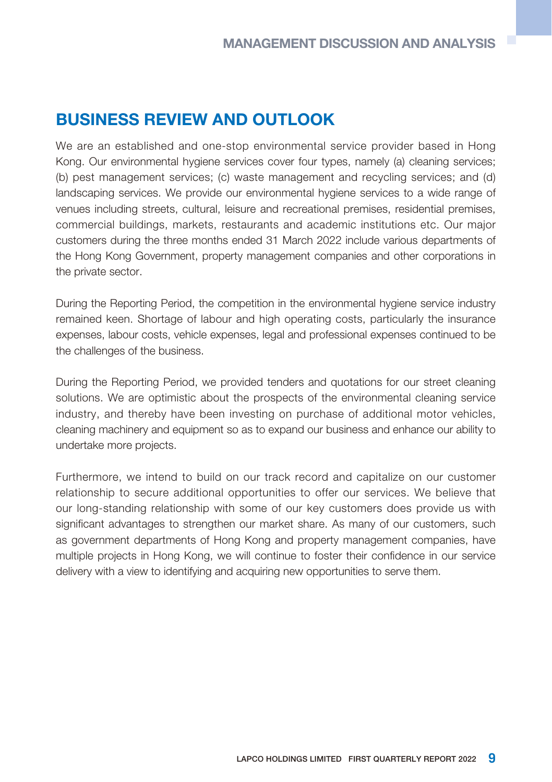# **BUSINESS REVIEW AND OUTLOOK**

We are an established and one-stop environmental service provider based in Hong Kong. Our environmental hygiene services cover four types, namely (a) cleaning services; (b) pest management services; (c) waste management and recycling services; and (d) landscaping services. We provide our environmental hygiene services to a wide range of venues including streets, cultural, leisure and recreational premises, residential premises, commercial buildings, markets, restaurants and academic institutions etc. Our major customers during the three months ended 31 March 2022 include various departments of the Hong Kong Government, property management companies and other corporations in the private sector.

During the Reporting Period, the competition in the environmental hygiene service industry remained keen. Shortage of labour and high operating costs, particularly the insurance expenses, labour costs, vehicle expenses, legal and professional expenses continued to be the challenges of the business.

During the Reporting Period, we provided tenders and quotations for our street cleaning solutions. We are optimistic about the prospects of the environmental cleaning service industry, and thereby have been investing on purchase of additional motor vehicles, cleaning machinery and equipment so as to expand our business and enhance our ability to undertake more projects.

Furthermore, we intend to build on our track record and capitalize on our customer relationship to secure additional opportunities to offer our services. We believe that our long-standing relationship with some of our key customers does provide us with significant advantages to strengthen our market share. As many of our customers, such as government departments of Hong Kong and property management companies, have multiple projects in Hong Kong, we will continue to foster their confidence in our service delivery with a view to identifying and acquiring new opportunities to serve them.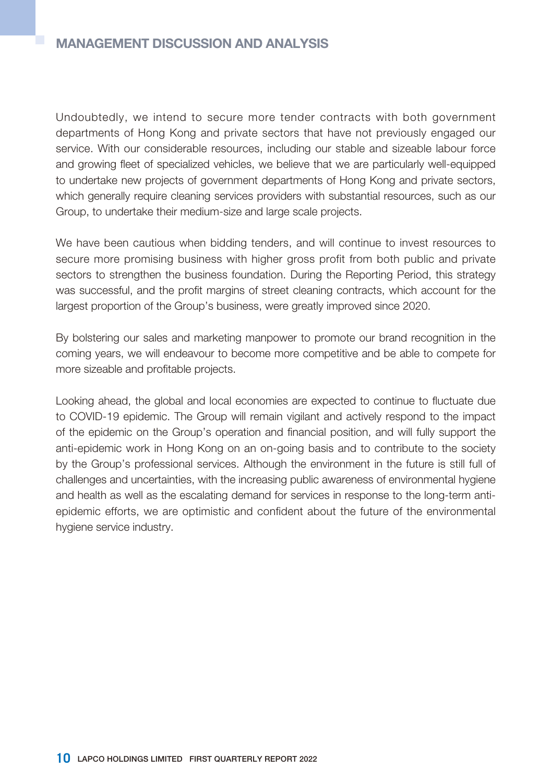Undoubtedly, we intend to secure more tender contracts with both government departments of Hong Kong and private sectors that have not previously engaged our service. With our considerable resources, including our stable and sizeable labour force and growing fleet of specialized vehicles, we believe that we are particularly well-equipped to undertake new projects of government departments of Hong Kong and private sectors, which generally require cleaning services providers with substantial resources, such as our Group, to undertake their medium-size and large scale projects.

We have been cautious when bidding tenders, and will continue to invest resources to secure more promising business with higher gross profit from both public and private sectors to strengthen the business foundation. During the Reporting Period, this strategy was successful, and the profit margins of street cleaning contracts, which account for the largest proportion of the Group's business, were greatly improved since 2020.

By bolstering our sales and marketing manpower to promote our brand recognition in the coming years, we will endeavour to become more competitive and be able to compete for more sizeable and profitable projects.

Looking ahead, the global and local economies are expected to continue to fluctuate due to COVID-19 epidemic. The Group will remain vigilant and actively respond to the impact of the epidemic on the Group's operation and financial position, and will fully support the anti-epidemic work in Hong Kong on an on-going basis and to contribute to the society by the Group's professional services. Although the environment in the future is still full of challenges and uncertainties, with the increasing public awareness of environmental hygiene and health as well as the escalating demand for services in response to the long-term antiepidemic efforts, we are optimistic and confident about the future of the environmental hygiene service industry.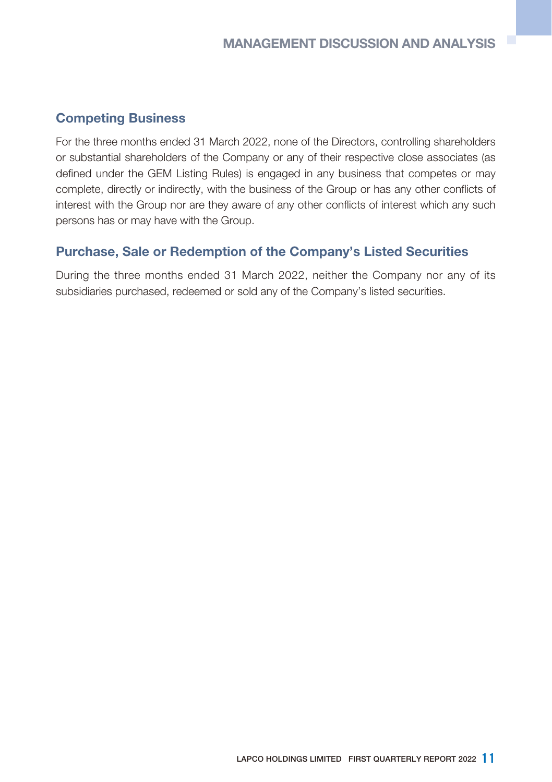### **Competing Business**

For the three months ended 31 March 2022, none of the Directors, controlling shareholders or substantial shareholders of the Company or any of their respective close associates (as defined under the GEM Listing Rules) is engaged in any business that competes or may complete, directly or indirectly, with the business of the Group or has any other conflicts of interest with the Group nor are they aware of any other conflicts of interest which any such persons has or may have with the Group.

### **Purchase, Sale or Redemption of the Company's Listed Securities**

During the three months ended 31 March 2022, neither the Company nor any of its subsidiaries purchased, redeemed or sold any of the Company's listed securities.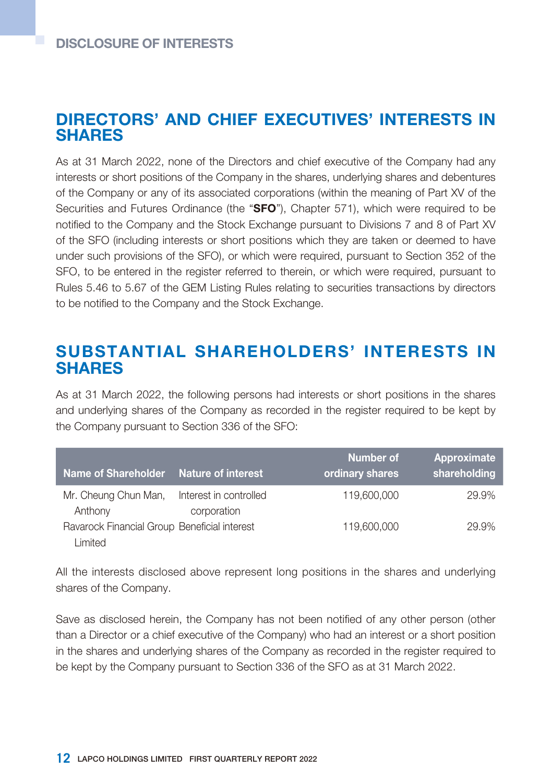## **DIRECTORS' AND CHIEF EXECUTIVES' INTERESTS IN SHARES**

As at 31 March 2022, none of the Directors and chief executive of the Company had any interests or short positions of the Company in the shares, underlying shares and debentures of the Company or any of its associated corporations (within the meaning of Part XV of the Securities and Futures Ordinance (the "**SFO**"), Chapter 571), which were required to be notified to the Company and the Stock Exchange pursuant to Divisions 7 and 8 of Part XV of the SFO (including interests or short positions which they are taken or deemed to have under such provisions of the SFO), or which were required, pursuant to Section 352 of the SFO, to be entered in the register referred to therein, or which were required, pursuant to Rules 5.46 to 5.67 of the GEM Listing Rules relating to securities transactions by directors to be notified to the Company and the Stock Exchange.

## **SUBSTANTIAL SHAREHOLDERS' INTERESTS IN SHARES**

As at 31 March 2022, the following persons had interests or short positions in the shares and underlying shares of the Company as recorded in the register required to be kept by the Company pursuant to Section 336 of the SFO:

| Name of Shareholder Nature of interest                  |                                       | Number of<br>ordinary shares | Approximate<br>shareholding |
|---------------------------------------------------------|---------------------------------------|------------------------------|-----------------------------|
| Mr. Cheung Chun Man,<br>Anthony                         | Interest in controlled<br>corporation | 119,600,000                  | 29.9%                       |
| Ravarock Financial Group Beneficial interest<br>Limited |                                       | 119,600,000                  | 29.9%                       |

All the interests disclosed above represent long positions in the shares and underlying shares of the Company.

Save as disclosed herein, the Company has not been notified of any other person (other than a Director or a chief executive of the Company) who had an interest or a short position in the shares and underlying shares of the Company as recorded in the register required to be kept by the Company pursuant to Section 336 of the SFO as at 31 March 2022.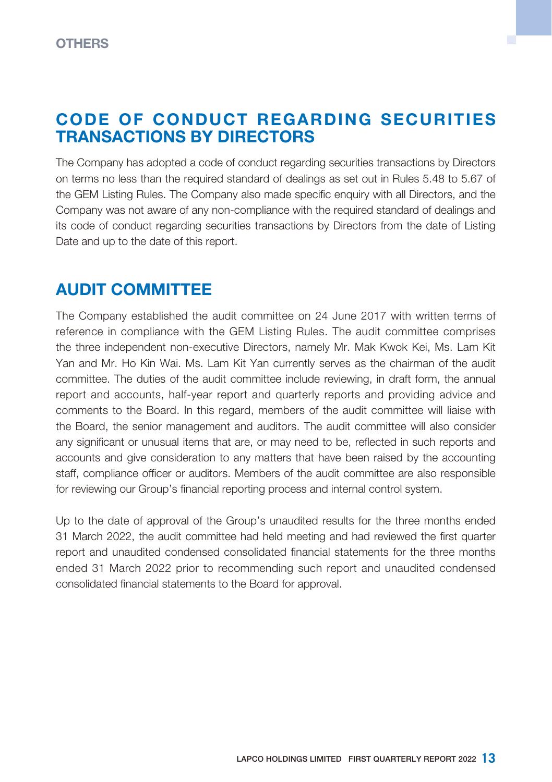# **CODE OF CONDUCT REGARDING SECURITIES TRANSACTIONS BY DIRECTORS**

ш

The Company has adopted a code of conduct regarding securities transactions by Directors on terms no less than the required standard of dealings as set out in Rules 5.48 to 5.67 of the GEM Listing Rules. The Company also made specific enquiry with all Directors, and the Company was not aware of any non-compliance with the required standard of dealings and its code of conduct regarding securities transactions by Directors from the date of Listing Date and up to the date of this report.

# **AUDIT COMMITTEE**

The Company established the audit committee on 24 June 2017 with written terms of reference in compliance with the GEM Listing Rules. The audit committee comprises the three independent non-executive Directors, namely Mr. Mak Kwok Kei, Ms. Lam Kit Yan and Mr. Ho Kin Wai. Ms. Lam Kit Yan currently serves as the chairman of the audit committee. The duties of the audit committee include reviewing, in draft form, the annual report and accounts, half-year report and quarterly reports and providing advice and comments to the Board. In this regard, members of the audit committee will liaise with the Board, the senior management and auditors. The audit committee will also consider any significant or unusual items that are, or may need to be, reflected in such reports and accounts and give consideration to any matters that have been raised by the accounting staff, compliance officer or auditors. Members of the audit committee are also responsible for reviewing our Group's financial reporting process and internal control system.

Up to the date of approval of the Group's unaudited results for the three months ended 31 March 2022, the audit committee had held meeting and had reviewed the first quarter report and unaudited condensed consolidated financial statements for the three months ended 31 March 2022 prior to recommending such report and unaudited condensed consolidated financial statements to the Board for approval.